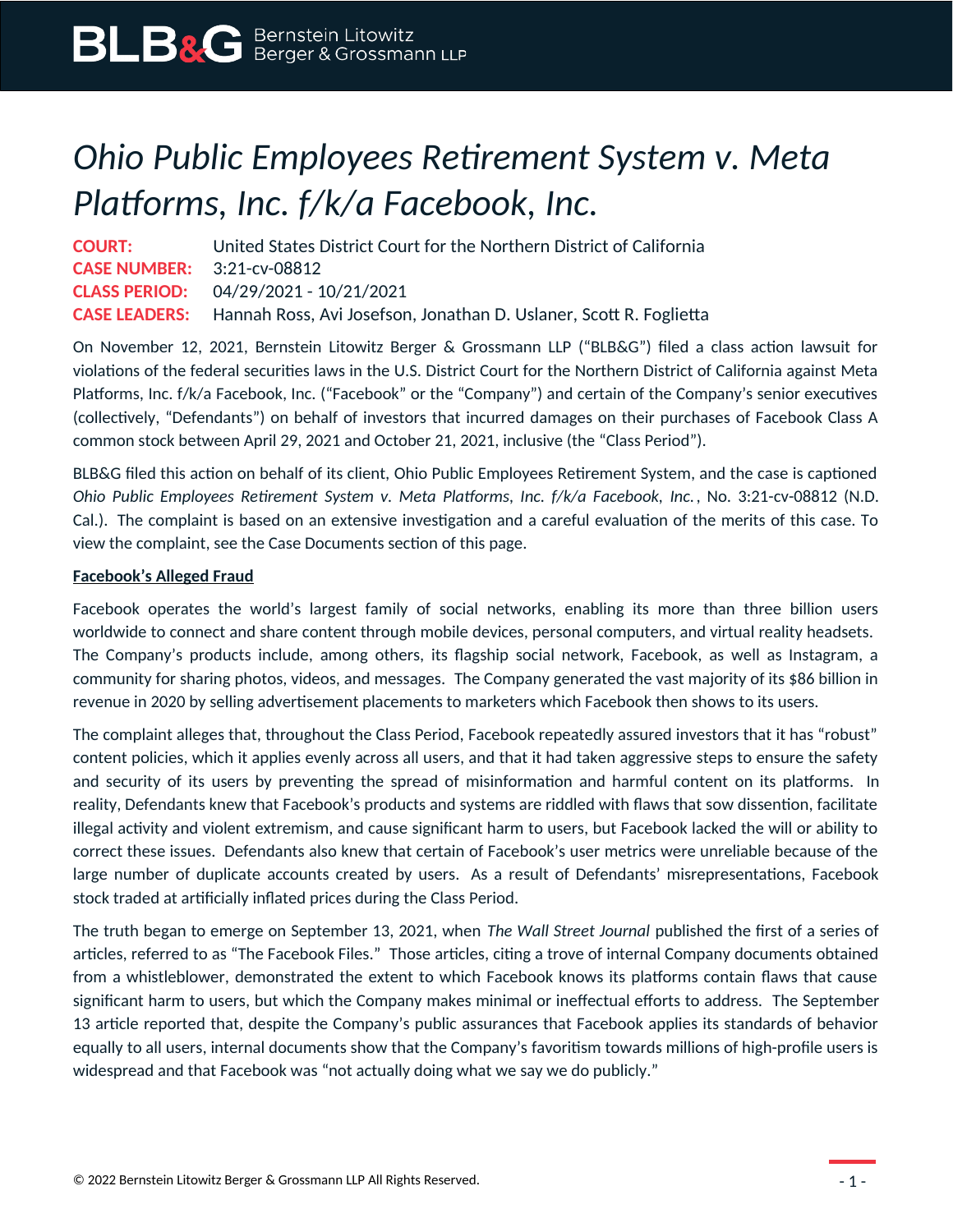## *Ohio Public Employees Retirement System v. Meta Platforms, Inc. f/k/a Facebook, Inc.*

**COURT:** United States District Court for the Northern District of California **CASE NUMBER:** 3:21-cv-08812 **CLASS PERIOD:** 04/29/2021 - 10/21/2021 **CASE LEADERS:** Hannah Ross, Avi Josefson, Jonathan D. Uslaner, Scott R. Foglietta

On November 12, 2021, Bernstein Litowitz Berger & Grossmann LLP ("BLB&G") filed a class action lawsuit for violations of the federal securities laws in the U.S. District Court for the Northern District of California against Meta Platforms, Inc. f/k/a Facebook, Inc. ("Facebook" or the "Company") and certain of the Company's senior executives (collectively, "Defendants") on behalf of investors that incurred damages on their purchases of Facebook Class A common stock between April 29, 2021 and October 21, 2021, inclusive (the "Class Period").

BLB&G filed this action on behalf of its client, Ohio Public Employees Retirement System, and the case is captioned *Ohio Public Employees Retirement System v. Meta Platforms, Inc. f/k/a Facebook, Inc.*, No. 3:21-cv-08812 (N.D. Cal.). The complaint is based on an extensive investigation and a careful evaluation of the merits of this case. To view the complaint, see the Case Documents section of this page.

## **Facebook's Alleged Fraud**

Facebook operates the world's largest family of social networks, enabling its more than three billion users worldwide to connect and share content through mobile devices, personal computers, and virtual reality headsets. The Company's products include, among others, its flagship social network, Facebook, as well as Instagram, a community for sharing photos, videos, and messages. The Company generated the vast majority of its \$86 billion in revenue in 2020 by selling advertisement placements to marketers which Facebook then shows to its users.

The complaint alleges that, throughout the Class Period, Facebook repeatedly assured investors that it has "robust" content policies, which it applies evenly across all users, and that it had taken aggressive steps to ensure the safety and security of its users by preventing the spread of misinformation and harmful content on its platforms. In reality, Defendants knew that Facebook's products and systems are riddled with flaws that sow dissention, facilitate illegal activity and violent extremism, and cause significant harm to users, but Facebook lacked the will or ability to correct these issues. Defendants also knew that certain of Facebook's user metrics were unreliable because of the large number of duplicate accounts created by users. As a result of Defendants' misrepresentations, Facebook stock traded at artificially inflated prices during the Class Period.

The truth began to emerge on September 13, 2021, when *The Wall Street Journal* published the first of a series of articles, referred to as "The Facebook Files." Those articles, citing a trove of internal Company documents obtained from a whistleblower, demonstrated the extent to which Facebook knows its platforms contain flaws that cause significant harm to users, but which the Company makes minimal or ineffectual efforts to address. The September 13 article reported that, despite the Company's public assurances that Facebook applies its standards of behavior equally to all users, internal documents show that the Company's favoritism towards millions of high-profile users is widespread and that Facebook was "not actually doing what we say we do publicly."